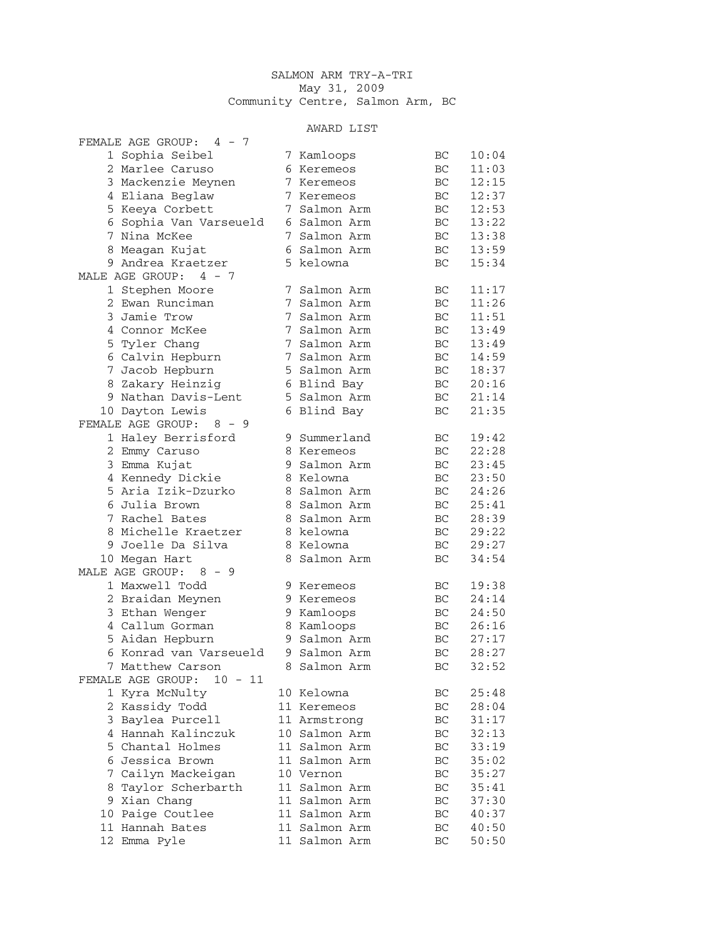## SALMON ARM TRY-A-TRI May 31, 2009 Community Centre, Salmon Arm, BC

## AWARD LIST

| FEMALE AGE GROUP: 4 - 7      |   |               |     |       |
|------------------------------|---|---------------|-----|-------|
| 1 Sophia Seibel              |   | 7 Kamloops    | ВC  | 10:04 |
| 2 Marlee Caruso              |   | 6 Keremeos    | ВC  | 11:03 |
| 3 Mackenzie Meynen           |   | 7 Keremeos    | ВC  | 12:15 |
| 4 Eliana Beglaw              |   | 7 Keremeos    | ВC  | 12:37 |
| 5 Keeya Corbett              |   | 7 Salmon Arm  | BC  | 12:53 |
| 6 Sophia Van Varseueld       |   | 6 Salmon Arm  | ВC  | 13:22 |
| 7 Nina McKee                 |   | 7 Salmon Arm  | BC  | 13:38 |
| 8 Meagan Kujat               |   | 6 Salmon Arm  | ВC  | 13:59 |
| 9 Andrea Kraetzer            |   | 5 kelowna     | ВC  | 15:34 |
| MALE AGE GROUP: 4 - 7        |   |               |     |       |
| 1 Stephen Moore              |   | 7 Salmon Arm  | BC  | 11:17 |
| 2 Ewan Runciman              |   | 7 Salmon Arm  | BC  | 11:26 |
| 3 Jamie Trow                 |   | 7 Salmon Arm  | ВC  | 11:51 |
| 4 Connor McKee               |   | 7 Salmon Arm  | ВC  | 13:49 |
| 5 Tyler Chang                |   | 7 Salmon Arm  | ВC  | 13:49 |
| 6 Calvin Hepburn             |   | 7 Salmon Arm  | ВC  | 14:59 |
| 7 Jacob Hepburn              |   | 5 Salmon Arm  | ВC  | 18:37 |
| 8 Zakary Heinzig             |   | 6 Blind Bay   | BC  | 20:16 |
| 9 Nathan Davis-Lent          |   | 5 Salmon Arm  | BC  | 21:14 |
| 10 Dayton Lewis              |   | 6 Blind Bay   | ВC  | 21:35 |
| FEMALE AGE GROUP:<br>8 - 9   |   |               |     |       |
| 1 Haley Berrisford           |   | 9 Summerland  | BC. | 19:42 |
| 2 Emmy Caruso                |   | 8 Keremeos    | ВC  | 22:28 |
| 3 Emma Kujat                 |   | 9 Salmon Arm  | ВC  | 23:45 |
| 4 Kennedy Dickie             |   | 8 Kelowna     | ВC  | 23:50 |
| 5 Aria Izik-Dzurko           |   | 8 Salmon Arm  | ВC  | 24:26 |
| 6 Julia Brown                |   | 8 Salmon Arm  | BC  | 25:41 |
| $7^{\circ}$<br>Rachel Bates  |   | 8 Salmon Arm  | BC  | 28:39 |
| 8 Michelle Kraetzer          |   | 8 kelowna     | BC  | 29:22 |
| 9 Joelle Da Silva            |   | 8 Kelowna     | BC  | 29:27 |
| 10 Megan Hart                | 8 | Salmon Arm    | BC  | 34:54 |
| MALE AGE GROUP:<br>$8 - 9$   |   |               |     |       |
| 1 Maxwell Todd               |   | 9 Keremeos    | BC  | 19:38 |
| 2 Braidan Meynen             |   | 9 Keremeos    | BC  | 24:14 |
| 3 Ethan Wenger               |   | 9 Kamloops    | ВC  | 24:50 |
| 4 Callum Gorman              |   | 8 Kamloops    | BC  | 26:16 |
| 5 Aidan Hepburn              |   | 9 Salmon Arm  | BC  | 27:17 |
| 6 Konrad van Varseueld       |   | 9 Salmon Arm  | BC  | 28:27 |
| 7<br>Matthew Carson          | 8 | Salmon Arm    | BC  | 32:52 |
| FEMALE AGE GROUP:<br>10 - 11 |   |               |     |       |
| 1 Kyra McNulty               |   | 10 Kelowna    | BC  | 25:48 |
| 2 Kassidy Todd               |   | 11 Keremeos   | ВC  | 28:04 |
| 3 Baylea Purcell             |   | 11 Armstrong  | BC  | 31:17 |
| 4 Hannah Kalinczuk           |   | 10 Salmon Arm | ВC  | 32:13 |
| 5 Chantal Holmes             |   | 11 Salmon Arm | BC  | 33:19 |
| 6 Jessica Brown              |   | 11 Salmon Arm | BC  | 35:02 |
| Cailyn Mackeigan<br>7        |   | 10 Vernon     | ВC  | 35:27 |
| Taylor Scherbarth<br>8       |   | 11 Salmon Arm | ВC  | 35:41 |
| 9 Xian Chang                 |   | 11 Salmon Arm | BC  | 37:30 |
| 10 Paige Coutlee             |   | 11 Salmon Arm | BC  | 40:37 |
| 11 Hannah Bates              |   | 11 Salmon Arm | BC  | 40:50 |
| 12 Emma Pyle                 |   | 11 Salmon Arm | BC  | 50:50 |
|                              |   |               |     |       |